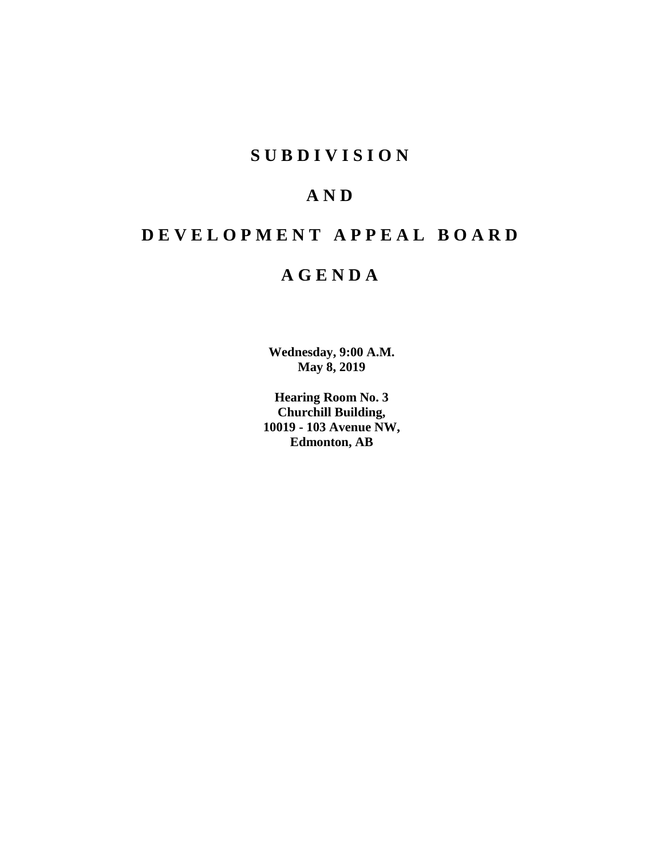# **SUBDIVISION**

# **AND**

# **DEVELOPMENT APPEAL BOARD**

# **AGENDA**

**Wednesday, 9:00 A.M. May 8, 2019**

**Hearing Room No. 3 Churchill Building, 10019 - 103 Avenue NW, Edmonton, AB**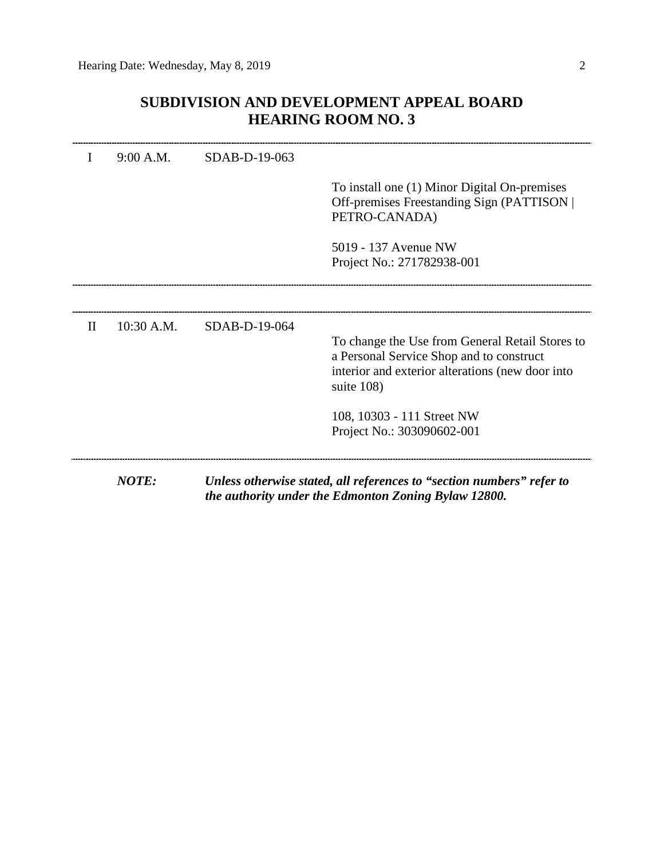# **SUBDIVISION AND DEVELOPMENT APPEAL BOARD HEARING ROOM NO. 3**

|              | 9:00 A.M.    | SDAB-D-19-063 |                                                                                                                                                               |
|--------------|--------------|---------------|---------------------------------------------------------------------------------------------------------------------------------------------------------------|
|              |              |               | To install one (1) Minor Digital On-premises<br>Off-premises Freestanding Sign (PATTISON)<br>PETRO-CANADA)                                                    |
|              |              |               | 5019 - 137 Avenue NW<br>Project No.: 271782938-001                                                                                                            |
|              |              |               |                                                                                                                                                               |
| $\mathbf{H}$ | 10:30 A.M.   | SDAB-D-19-064 | To change the Use from General Retail Stores to<br>a Personal Service Shop and to construct<br>interior and exterior alterations (new door into<br>suite 108) |
|              |              |               | 108, 10303 - 111 Street NW<br>Project No.: 303090602-001                                                                                                      |
|              | <b>NOTE:</b> |               | Unless otherwise stated, all references to "section numbers" refer to<br>the authority under the Edmonton Zoning Bylaw 12800.                                 |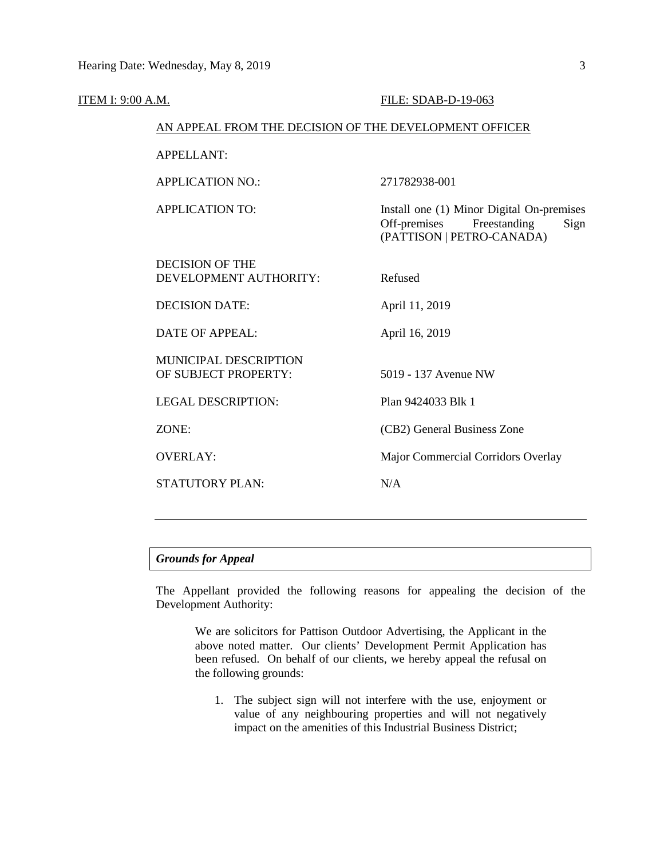| ITEM I: 9:00 A.M.                                      |                                                  | FILE: SDAB-D-19-063                                                                                            |  |  |
|--------------------------------------------------------|--------------------------------------------------|----------------------------------------------------------------------------------------------------------------|--|--|
| AN APPEAL FROM THE DECISION OF THE DEVELOPMENT OFFICER |                                                  |                                                                                                                |  |  |
|                                                        | <b>APPELLANT:</b>                                |                                                                                                                |  |  |
|                                                        | <b>APPLICATION NO.:</b>                          | 271782938-001                                                                                                  |  |  |
|                                                        | <b>APPLICATION TO:</b>                           | Install one (1) Minor Digital On-premises<br>Freestanding<br>Off-premises<br>Sign<br>(PATTISON   PETRO-CANADA) |  |  |
|                                                        | <b>DECISION OF THE</b><br>DEVELOPMENT AUTHORITY: | Refused                                                                                                        |  |  |
|                                                        | <b>DECISION DATE:</b>                            | April 11, 2019                                                                                                 |  |  |
|                                                        | <b>DATE OF APPEAL:</b>                           | April 16, 2019                                                                                                 |  |  |
|                                                        | MUNICIPAL DESCRIPTION<br>OF SUBJECT PROPERTY:    | 5019 - 137 Avenue NW                                                                                           |  |  |
|                                                        | <b>LEGAL DESCRIPTION:</b>                        | Plan 9424033 Blk 1                                                                                             |  |  |
|                                                        | ZONE:                                            | (CB2) General Business Zone                                                                                    |  |  |
|                                                        | <b>OVERLAY:</b>                                  | Major Commercial Corridors Overlay                                                                             |  |  |
|                                                        | <b>STATUTORY PLAN:</b>                           | N/A                                                                                                            |  |  |
|                                                        |                                                  |                                                                                                                |  |  |

# *Grounds for Appeal*

The Appellant provided the following reasons for appealing the decision of the Development Authority:

We are solicitors for Pattison Outdoor Advertising, the Applicant in the above noted matter. Our clients' Development Permit Application has been refused. On behalf of our clients, we hereby appeal the refusal on the following grounds:

1. The subject sign will not interfere with the use, enjoyment or value of any neighbouring properties and will not negatively impact on the amenities of this Industrial Business District;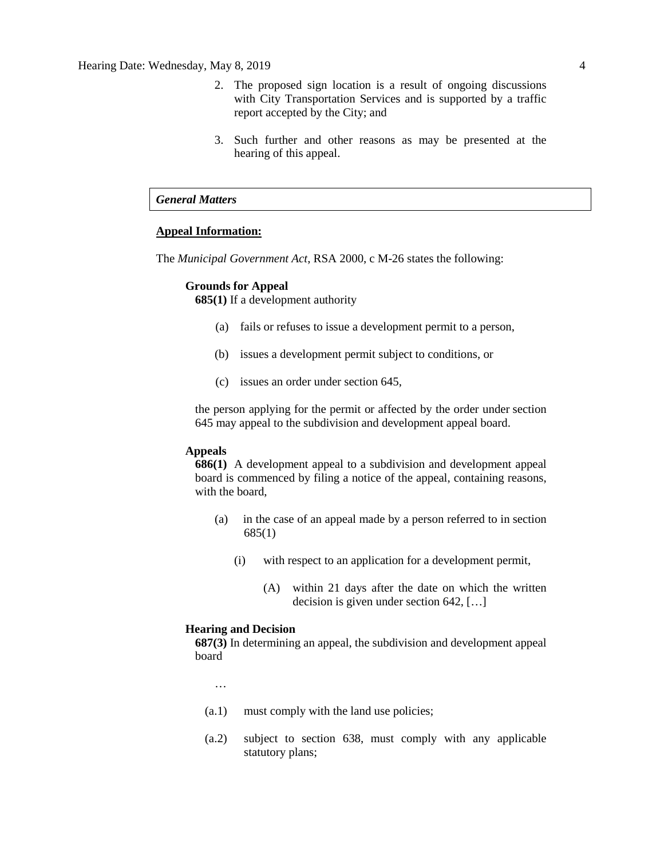- 2. The proposed sign location is a result of ongoing discussions with City Transportation Services and is supported by a traffic report accepted by the City; and
- 3. Such further and other reasons as may be presented at the hearing of this appeal.

### *General Matters*

#### **Appeal Information:**

The *Municipal Government Act*, RSA 2000, c M-26 states the following:

#### **Grounds for Appeal**

**685(1)** If a development authority

- (a) fails or refuses to issue a development permit to a person,
- (b) issues a development permit subject to conditions, or
- (c) issues an order under section 645,

the person applying for the permit or affected by the order under section 645 may appeal to the subdivision and development appeal board.

#### **Appeals**

**686(1)** A development appeal to a subdivision and development appeal board is commenced by filing a notice of the appeal, containing reasons, with the board,

- (a) in the case of an appeal made by a person referred to in section 685(1)
	- (i) with respect to an application for a development permit,
		- (A) within 21 days after the date on which the written decision is given under section 642, […]

#### **Hearing and Decision**

**687(3)** In determining an appeal, the subdivision and development appeal board

…

- (a.1) must comply with the land use policies;
- (a.2) subject to section 638, must comply with any applicable statutory plans;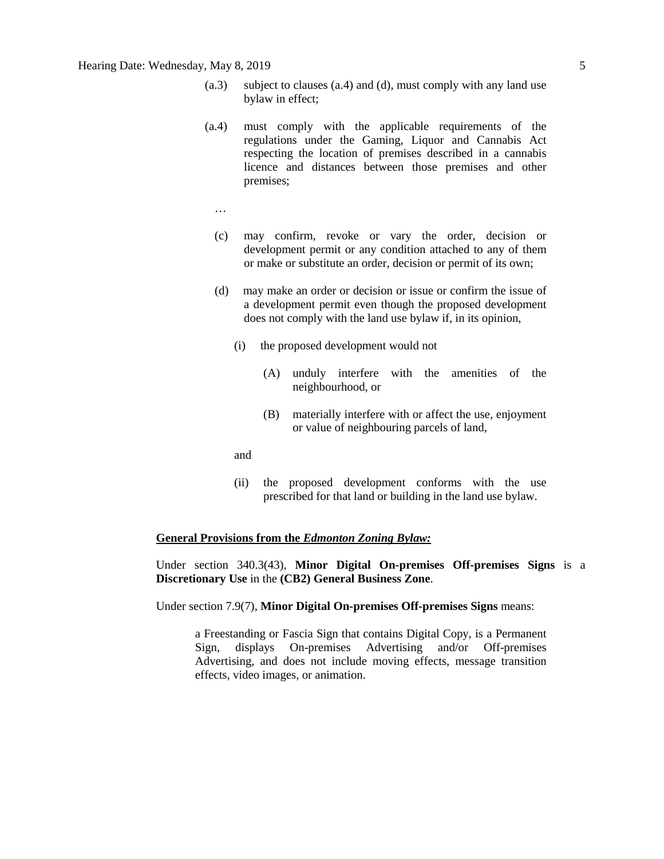- (a.3) subject to clauses (a.4) and (d), must comply with any land use bylaw in effect;
- (a.4) must comply with the applicable requirements of the regulations under the Gaming, Liquor and Cannabis Act respecting the location of premises described in a cannabis licence and distances between those premises and other premises;
	- …
	- (c) may confirm, revoke or vary the order, decision or development permit or any condition attached to any of them or make or substitute an order, decision or permit of its own;
	- (d) may make an order or decision or issue or confirm the issue of a development permit even though the proposed development does not comply with the land use bylaw if, in its opinion,
		- (i) the proposed development would not
			- (A) unduly interfere with the amenities of the neighbourhood, or
			- (B) materially interfere with or affect the use, enjoyment or value of neighbouring parcels of land,
		- and
		- (ii) the proposed development conforms with the use prescribed for that land or building in the land use bylaw.

#### **General Provisions from the** *Edmonton Zoning Bylaw:*

Under section 340.3(43), **Minor Digital On-premises Off-premises Signs** is a **Discretionary Use** in the **(CB2) General Business Zone**.

Under section 7.9(7), **Minor Digital On-premises Off-premises Signs** means:

a Freestanding or Fascia Sign that contains Digital Copy, is a Permanent Sign, displays On-premises Advertising and/or Off-premises Advertising, and does not include moving effects, message transition effects, video images, or animation.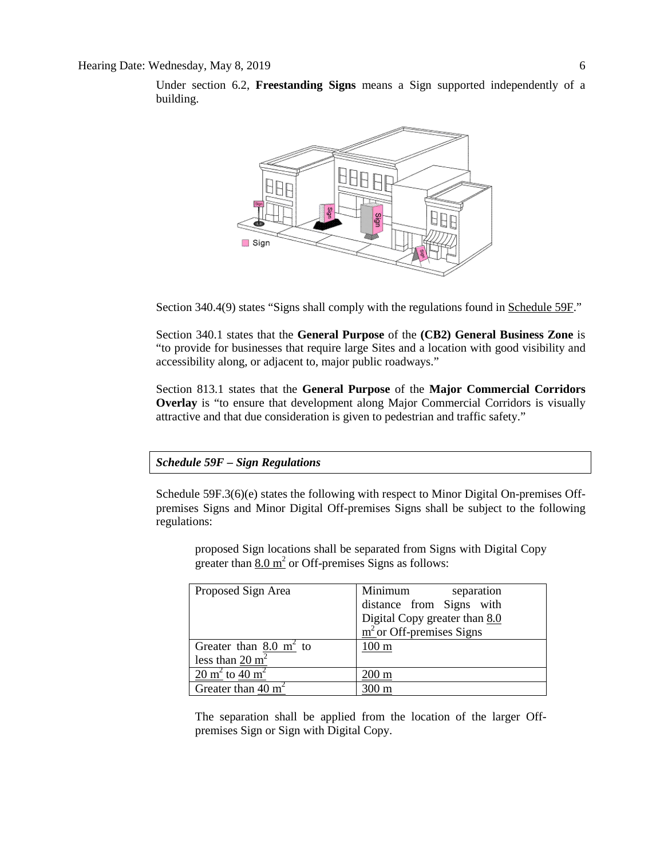Under section 6.2, **Freestanding Signs** means a Sign supported independently of a building.



Section 340.4(9) states "Signs shall comply with the regulations found in Schedule 59F."

Section 340.1 states that the **General Purpose** of the **(CB2) General Business Zone** is "to provide for businesses that require large Sites and a location with good visibility and accessibility along, or adjacent to, major public roadways."

Section 813.1 states that the **General Purpose** of the **Major Commercial Corridors Overlay** is "to ensure that development along Major Commercial Corridors is visually attractive and that due consideration is given to pedestrian and traffic safety."

*Schedule 59F – Sign Regulations*

Schedule 59F.3(6)(e) states the following with respect to Minor Digital On-premises Offpremises Signs and Minor Digital Off-premises Signs shall be subject to the following regulations:

proposed Sign locations shall be separated from Signs with Digital Copy greater than  $8.0 \text{ m}^2$  or Off-premises Signs as follows:

| Proposed Sign Area                   | Minimum<br>separation                 |
|--------------------------------------|---------------------------------------|
|                                      | distance from Signs with              |
|                                      | Digital Copy greater than 8.0         |
|                                      | $\frac{m^2}{2}$ or Off-premises Signs |
| Greater than $8.0 \text{ m}^2$ to    | $100 \text{ m}$                       |
| less than $20 \text{ m}^2$           |                                       |
| $20 \text{ m}^2$ to $40 \text{ m}^2$ | $200 \text{ m}$                       |
| Greater than 40 $m2$                 | 300 m                                 |

The separation shall be applied from the location of the larger Offpremises Sign or Sign with Digital Copy.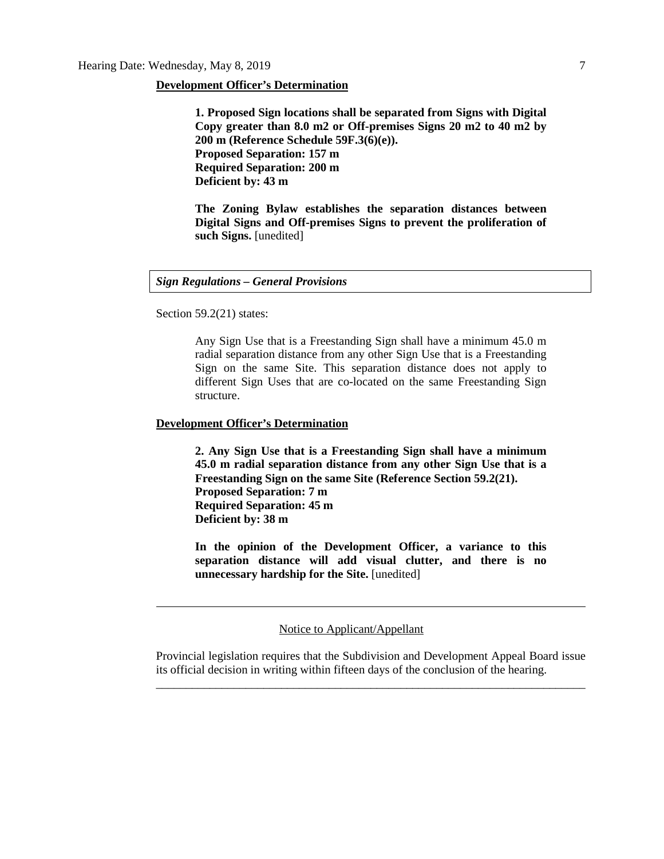#### **Development Officer's Determination**

**1. Proposed Sign locations shall be separated from Signs with Digital Copy greater than 8.0 m2 or Off-premises Signs 20 m2 to 40 m2 by 200 m (Reference Schedule 59F.3(6)(e)). Proposed Separation: 157 m Required Separation: 200 m Deficient by: 43 m**

**The Zoning Bylaw establishes the separation distances between Digital Signs and Off-premises Signs to prevent the proliferation of such Signs.** [unedited]

#### *Sign Regulations – General Provisions*

Section 59.2(21) states:

Any Sign Use that is a Freestanding Sign shall have a minimum 45.0 m radial separation distance from any other Sign Use that is a Freestanding Sign on the same Site. This separation distance does not apply to different Sign Uses that are co-located on the same Freestanding Sign structure.

#### **Development Officer's Determination**

**2. Any Sign Use that is a Freestanding Sign shall have a minimum 45.0 m radial separation distance from any other Sign Use that is a Freestanding Sign on the same Site (Reference Section 59.2(21). Proposed Separation: 7 m Required Separation: 45 m Deficient by: 38 m**

**In the opinion of the Development Officer, a variance to this separation distance will add visual clutter, and there is no unnecessary hardship for the Site.** [unedited]

#### Notice to Applicant/Appellant

Provincial legislation requires that the Subdivision and Development Appeal Board issue its official decision in writing within fifteen days of the conclusion of the hearing. \_\_\_\_\_\_\_\_\_\_\_\_\_\_\_\_\_\_\_\_\_\_\_\_\_\_\_\_\_\_\_\_\_\_\_\_\_\_\_\_\_\_\_\_\_\_\_\_\_\_\_\_\_\_\_\_\_\_\_\_\_\_\_\_\_\_\_\_\_\_\_\_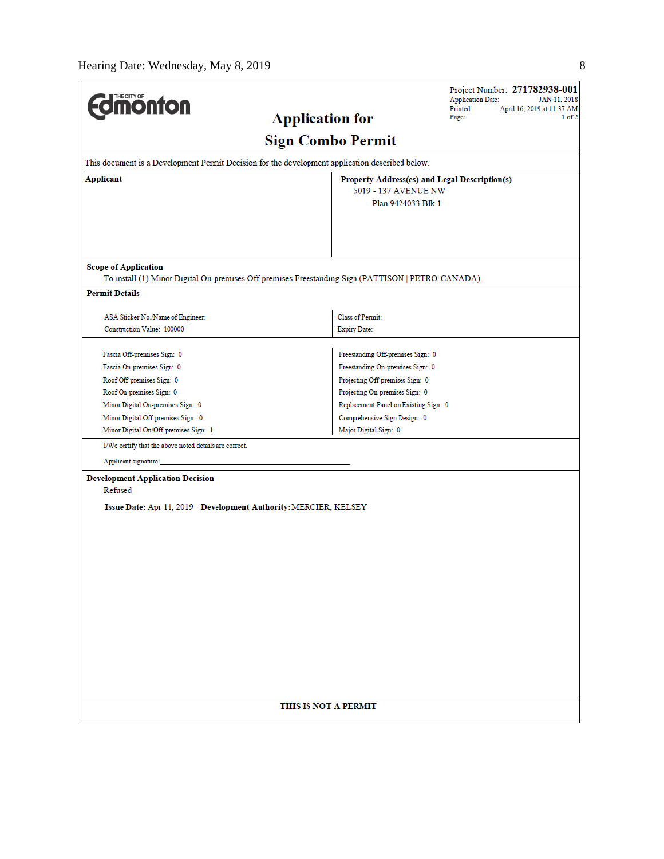$\overline{a}$ 

| <b>Imonton</b>                                                  |                                                                                                    | Project Number: 271782938-001<br><b>Application Date:</b><br>JAN 11, 2018<br>Printed:<br>April 16, 2019 at 11:37 AM |  |  |
|-----------------------------------------------------------------|----------------------------------------------------------------------------------------------------|---------------------------------------------------------------------------------------------------------------------|--|--|
|                                                                 | <b>Application for</b>                                                                             | Page:<br>$1$ of $2$                                                                                                 |  |  |
|                                                                 | <b>Sign Combo Permit</b>                                                                           |                                                                                                                     |  |  |
|                                                                 | This document is a Development Permit Decision for the development application described below.    |                                                                                                                     |  |  |
| <b>Applicant</b>                                                | 5019 - 137 AVENUE NW                                                                               | Property Address(es) and Legal Description(s)                                                                       |  |  |
|                                                                 | Plan 9424033 Blk 1                                                                                 |                                                                                                                     |  |  |
|                                                                 |                                                                                                    |                                                                                                                     |  |  |
|                                                                 |                                                                                                    |                                                                                                                     |  |  |
| <b>Scope of Application</b>                                     |                                                                                                    |                                                                                                                     |  |  |
|                                                                 | To install (1) Minor Digital On-premises Off-premises Freestanding Sign (PATTISON   PETRO-CANADA). |                                                                                                                     |  |  |
| <b>Permit Details</b>                                           |                                                                                                    |                                                                                                                     |  |  |
| ASA Sticker No./Name of Engineer:                               | Class of Permit:                                                                                   |                                                                                                                     |  |  |
| Construction Value: 100000                                      | <b>Expiry Date:</b>                                                                                |                                                                                                                     |  |  |
| Fascia Off-premises Sign: 0                                     | Freestanding Off-premises Sign: 0                                                                  |                                                                                                                     |  |  |
| Fascia On-premises Sign: 0                                      | Freestanding On-premises Sign: 0                                                                   |                                                                                                                     |  |  |
| Roof Off-premises Sign: 0                                       | Projecting Off-premises Sign: 0                                                                    |                                                                                                                     |  |  |
| Roof On-premises Sign: 0                                        | Projecting On-premises Sign: 0                                                                     |                                                                                                                     |  |  |
| Minor Digital On-premises Sign: 0                               |                                                                                                    | Replacement Panel on Existing Sign: 0                                                                               |  |  |
| Minor Digital Off-premises Sign: 0                              |                                                                                                    | Comprehensive Sign Design: 0                                                                                        |  |  |
| Minor Digital On/Off-premises Sign: 1                           | Major Digital Sign: 0                                                                              |                                                                                                                     |  |  |
| I/We certify that the above noted details are correct.          |                                                                                                    |                                                                                                                     |  |  |
| Applicant signature:                                            |                                                                                                    |                                                                                                                     |  |  |
| <b>Development Application Decision</b><br>Refused              |                                                                                                    |                                                                                                                     |  |  |
| Issue Date: Apr 11, 2019 Development Authority: MERCIER, KELSEY |                                                                                                    |                                                                                                                     |  |  |
|                                                                 |                                                                                                    |                                                                                                                     |  |  |
|                                                                 |                                                                                                    |                                                                                                                     |  |  |
|                                                                 |                                                                                                    |                                                                                                                     |  |  |
|                                                                 |                                                                                                    |                                                                                                                     |  |  |
|                                                                 |                                                                                                    |                                                                                                                     |  |  |
|                                                                 |                                                                                                    |                                                                                                                     |  |  |
|                                                                 |                                                                                                    |                                                                                                                     |  |  |
|                                                                 |                                                                                                    |                                                                                                                     |  |  |
|                                                                 |                                                                                                    |                                                                                                                     |  |  |
|                                                                 |                                                                                                    |                                                                                                                     |  |  |
|                                                                 |                                                                                                    |                                                                                                                     |  |  |
|                                                                 |                                                                                                    |                                                                                                                     |  |  |
|                                                                 |                                                                                                    |                                                                                                                     |  |  |
|                                                                 |                                                                                                    |                                                                                                                     |  |  |
|                                                                 | THIS IS NOT A PERMIT                                                                               |                                                                                                                     |  |  |
|                                                                 |                                                                                                    |                                                                                                                     |  |  |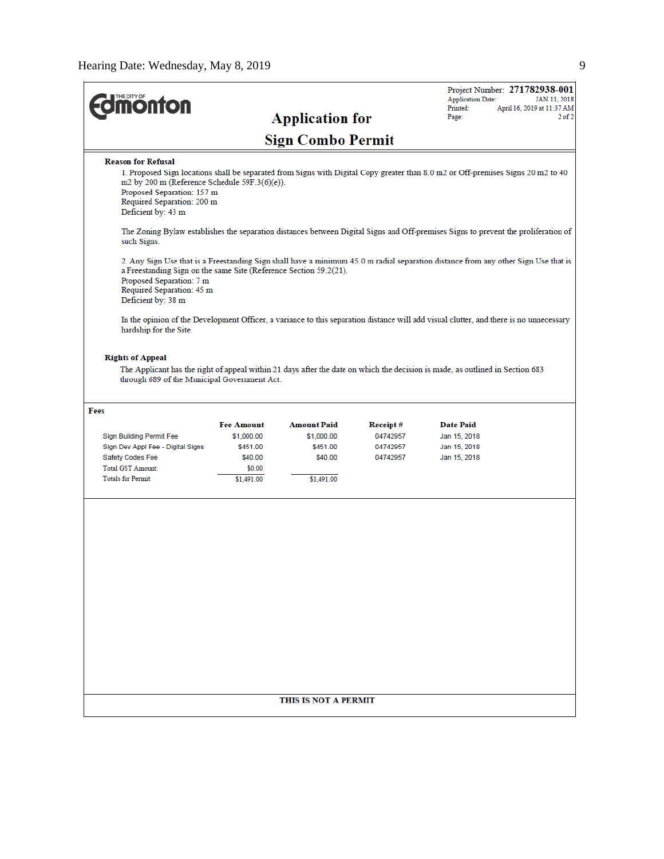$\overline{a}$ 

| <b><i><u><u>monton</u></u></i></b>                                                                                                                                                                                                                                                                                                                                                                                                                         |                   | <b>Application for</b>   |          | <b>Application Date:</b><br>Printed:<br>Page: | Project Number: 271782938-001<br>JAN 11, 2018<br>April 16, 2019 at 11:37 AM<br>$2$ of $2$ |
|------------------------------------------------------------------------------------------------------------------------------------------------------------------------------------------------------------------------------------------------------------------------------------------------------------------------------------------------------------------------------------------------------------------------------------------------------------|-------------------|--------------------------|----------|-----------------------------------------------|-------------------------------------------------------------------------------------------|
|                                                                                                                                                                                                                                                                                                                                                                                                                                                            |                   | <b>Sign Combo Permit</b> |          |                                               |                                                                                           |
| <b>Reason for Refusal</b>                                                                                                                                                                                                                                                                                                                                                                                                                                  |                   |                          |          |                                               |                                                                                           |
| 1. Proposed Sign locations shall be separated from Signs with Digital Copy greater than 8.0 m2 or Off-premises Signs 20 m2 to 40<br>m2 by 200 m (Reference Schedule 59F.3(6)(e)).<br>Proposed Separation: 157 m<br>Required Separation: 200 m<br>Deficient by: 43 m                                                                                                                                                                                        |                   |                          |          |                                               |                                                                                           |
| The Zoning Bylaw establishes the separation distances between Digital Signs and Off-premises Signs to prevent the proliferation of<br>such Signs.                                                                                                                                                                                                                                                                                                          |                   |                          |          |                                               |                                                                                           |
| 2. Any Sign Use that is a Freestanding Sign shall have a minimum 45.0 m radial separation distance from any other Sign Use that is<br>a Freestanding Sign on the same Site (Reference Section 59.2(21).<br>Proposed Separation: 7 m<br>Required Separation: 45 m<br>Deficient by: 38 m<br>In the opinion of the Development Officer, a variance to this separation distance will add visual clutter, and there is no unnecessary<br>hardship for the Site. |                   |                          |          |                                               |                                                                                           |
| <b>Rights of Appeal</b><br>The Applicant has the right of appeal within 21 days after the date on which the decision is made, as outlined in Section 683<br>through 689 of the Municipal Government Act.                                                                                                                                                                                                                                                   |                   |                          |          |                                               |                                                                                           |
| Fees                                                                                                                                                                                                                                                                                                                                                                                                                                                       |                   |                          |          |                                               |                                                                                           |
|                                                                                                                                                                                                                                                                                                                                                                                                                                                            | <b>Fee Amount</b> | <b>Amount Paid</b>       | Receipt# | Date Paid                                     |                                                                                           |
| Sign Building Permit Fee                                                                                                                                                                                                                                                                                                                                                                                                                                   | \$1,000.00        | \$1,000.00               | 04742957 | Jan 15, 2018                                  |                                                                                           |
| Sign Dev Appl Fee - Digital Signs                                                                                                                                                                                                                                                                                                                                                                                                                          | \$451.00          | \$451.00                 | 04742957 | Jan 15, 2018                                  |                                                                                           |
| Safety Codes Fee                                                                                                                                                                                                                                                                                                                                                                                                                                           | \$40.00           | \$40.00                  | 04742957 | Jan 15, 2018                                  |                                                                                           |
| <b>Total GST Amount:</b>                                                                                                                                                                                                                                                                                                                                                                                                                                   | \$0.00            |                          |          |                                               |                                                                                           |
| <b>Totals for Permit:</b>                                                                                                                                                                                                                                                                                                                                                                                                                                  | \$1,491.00        | \$1,491.00               |          |                                               |                                                                                           |
|                                                                                                                                                                                                                                                                                                                                                                                                                                                            |                   |                          |          |                                               |                                                                                           |
|                                                                                                                                                                                                                                                                                                                                                                                                                                                            |                   | THIS IS NOT A PERMIT     |          |                                               |                                                                                           |
|                                                                                                                                                                                                                                                                                                                                                                                                                                                            |                   |                          |          |                                               |                                                                                           |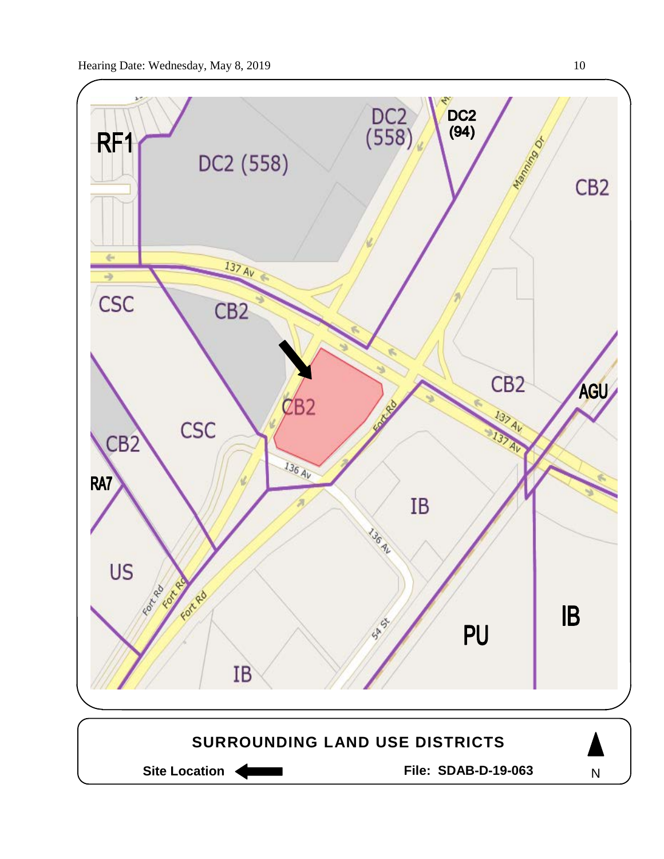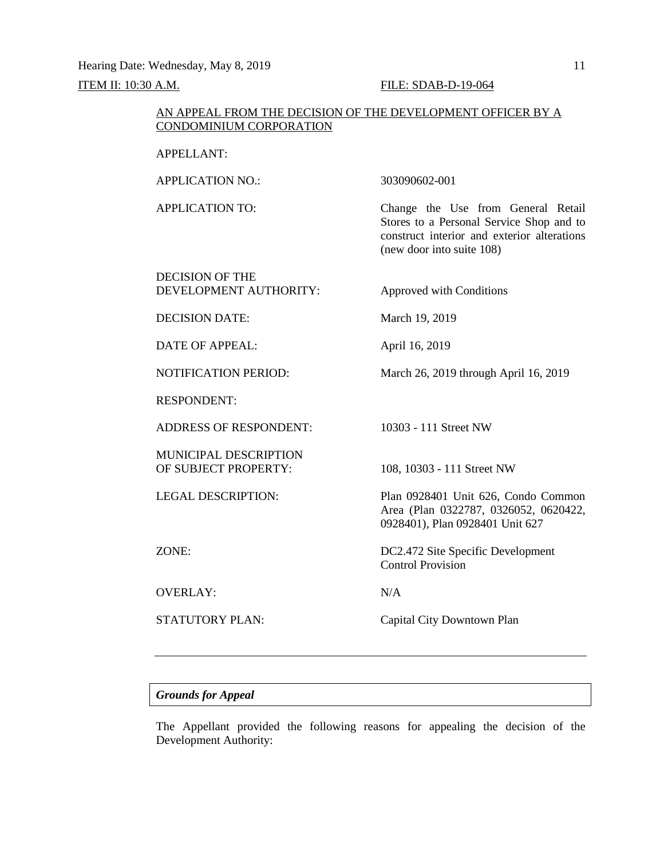#### ITEM II: 10:30 A.M. FILE: SDAB-D-19-064

#### AN APPEAL FROM THE DECISION OF THE DEVELOPMENT OFFICER BY A CONDOMINIUM CORPORATION

### APPELLANT:

APPLICATION NO.: 303090602-001

APPLICATION TO: Change the Use from General Retail Stores to a Personal Service Shop and to construct interior and exterior alterations (new door into suite 108)

DECISION OF THE DEVELOPMENT AUTHORITY: Approved with Conditions

DECISION DATE: March 19, 2019

DATE OF APPEAL: April 16, 2019

NOTIFICATION PERIOD: March 26, 2019 through April 16, 2019

RESPONDENT:

ADDRESS OF RESPONDENT: 10303 - 111 Street NW

MUNICIPAL DESCRIPTION OF SUBJECT PROPERTY: 108, 10303 - 111 Street NW

OVERLAY: N/A

LEGAL DESCRIPTION: Plan 0928401 Unit 626, Condo Common Area (Plan 0322787, 0326052, 0620422, 0928401), Plan 0928401 Unit 627

ZONE: DC2.472 Site Specific Development Control Provision

STATUTORY PLAN: Capital City Downtown Plan

# *Grounds for Appeal*

The Appellant provided the following reasons for appealing the decision of the Development Authority: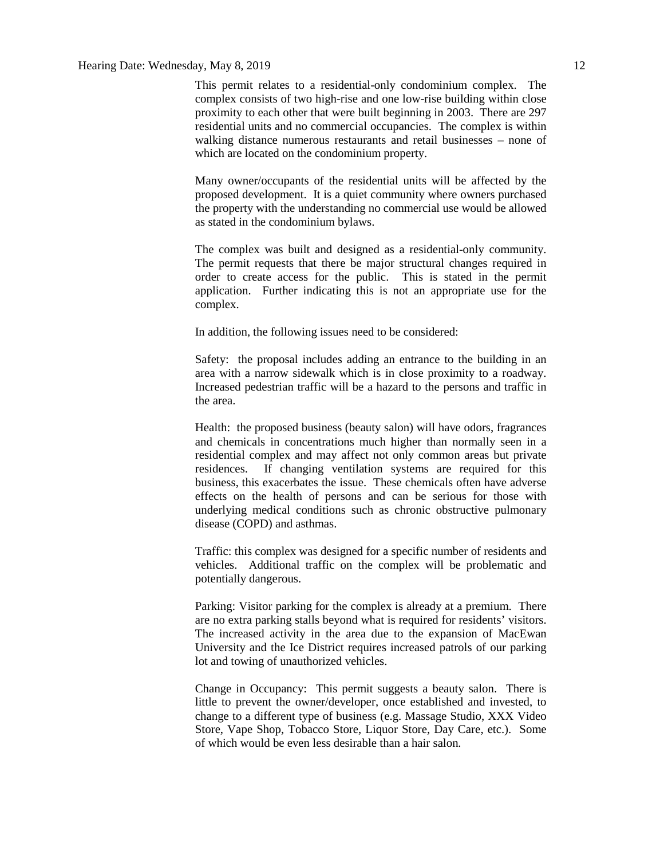### Hearing Date: Wednesday, May 8, 2019 12

This permit relates to a residential-only condominium complex. The complex consists of two high-rise and one low-rise building within close proximity to each other that were built beginning in 2003. There are 297 residential units and no commercial occupancies. The complex is within walking distance numerous restaurants and retail businesses – none of which are located on the condominium property.

Many owner/occupants of the residential units will be affected by the proposed development. It is a quiet community where owners purchased the property with the understanding no commercial use would be allowed as stated in the condominium bylaws.

The complex was built and designed as a residential-only community. The permit requests that there be major structural changes required in order to create access for the public. This is stated in the permit application. Further indicating this is not an appropriate use for the complex.

In addition, the following issues need to be considered:

Safety: the proposal includes adding an entrance to the building in an area with a narrow sidewalk which is in close proximity to a roadway. Increased pedestrian traffic will be a hazard to the persons and traffic in the area.

Health: the proposed business (beauty salon) will have odors, fragrances and chemicals in concentrations much higher than normally seen in a residential complex and may affect not only common areas but private residences. If changing ventilation systems are required for this business, this exacerbates the issue. These chemicals often have adverse effects on the health of persons and can be serious for those with underlying medical conditions such as chronic obstructive pulmonary disease (COPD) and asthmas.

Traffic: this complex was designed for a specific number of residents and vehicles. Additional traffic on the complex will be problematic and potentially dangerous.

Parking: Visitor parking for the complex is already at a premium. There are no extra parking stalls beyond what is required for residents' visitors. The increased activity in the area due to the expansion of MacEwan University and the Ice District requires increased patrols of our parking lot and towing of unauthorized vehicles.

Change in Occupancy: This permit suggests a beauty salon. There is little to prevent the owner/developer, once established and invested, to change to a different type of business (e.g. Massage Studio, XXX Video Store, Vape Shop, Tobacco Store, Liquor Store, Day Care, etc.). Some of which would be even less desirable than a hair salon.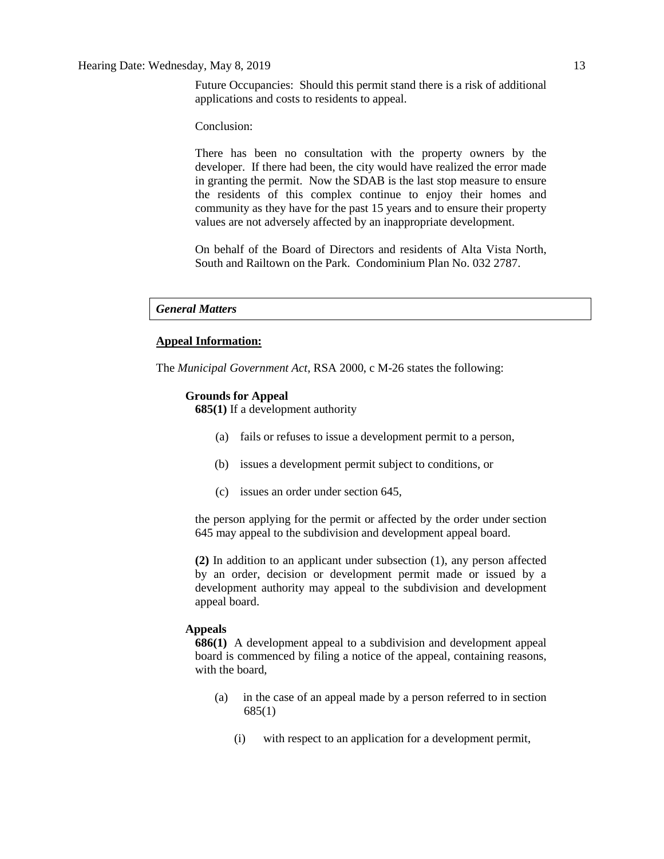Future Occupancies: Should this permit stand there is a risk of additional applications and costs to residents to appeal.

Conclusion:

There has been no consultation with the property owners by the developer. If there had been, the city would have realized the error made in granting the permit. Now the SDAB is the last stop measure to ensure the residents of this complex continue to enjoy their homes and community as they have for the past 15 years and to ensure their property values are not adversely affected by an inappropriate development.

On behalf of the Board of Directors and residents of Alta Vista North, South and Railtown on the Park. Condominium Plan No. 032 2787.

#### *General Matters*

#### **Appeal Information:**

The *Municipal Government Act*, RSA 2000, c M-26 states the following:

#### **Grounds for Appeal**

**685(1)** If a development authority

- (a) fails or refuses to issue a development permit to a person,
- (b) issues a development permit subject to conditions, or
- (c) issues an order under section 645,

the person applying for the permit or affected by the order under section 645 may appeal to the subdivision and development appeal board.

**(2)** In addition to an applicant under subsection (1), any person affected by an order, decision or development permit made or issued by a development authority may appeal to the subdivision and development appeal board.

#### **Appeals**

**686(1)** A development appeal to a subdivision and development appeal board is commenced by filing a notice of the appeal, containing reasons, with the board,

- (a) in the case of an appeal made by a person referred to in section 685(1)
	- (i) with respect to an application for a development permit,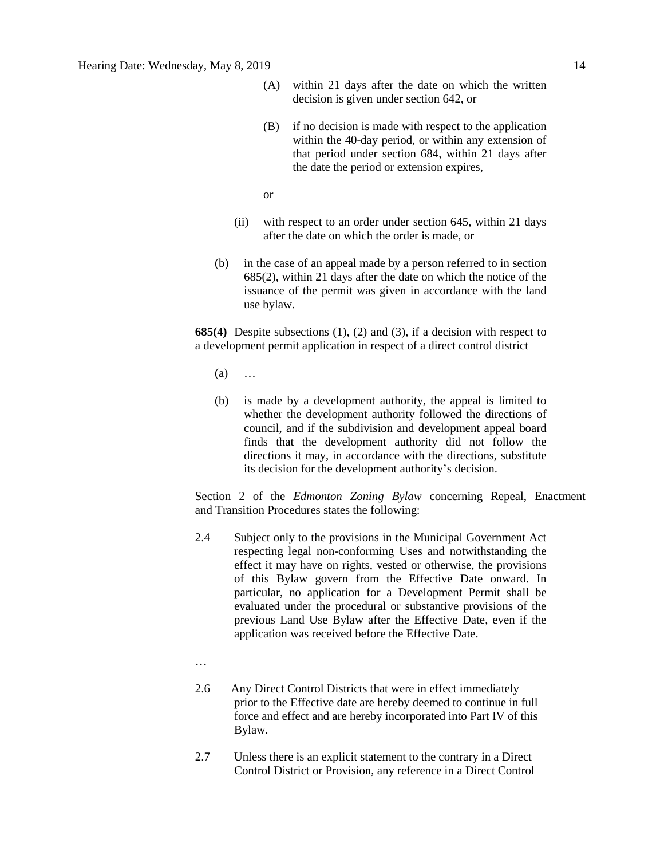- (A) within 21 days after the date on which the written decision is given under section 642, or
- (B) if no decision is made with respect to the application within the 40-day period, or within any extension of that period under section 684, within 21 days after the date the period or extension expires,

or

- (ii) with respect to an order under section 645, within 21 days after the date on which the order is made, or
- (b) in the case of an appeal made by a person referred to in section 685(2), within 21 days after the date on which the notice of the issuance of the permit was given in accordance with the land use bylaw.

**685(4)** Despite subsections (1), (2) and (3), if a decision with respect to a development permit application in respect of a direct control district

- (a) …
- (b) is made by a development authority, the appeal is limited to whether the development authority followed the directions of council, and if the subdivision and development appeal board finds that the development authority did not follow the directions it may, in accordance with the directions, substitute its decision for the development authority's decision.

Section 2 of the *Edmonton Zoning Bylaw* concerning Repeal, Enactment and Transition Procedures states the following:

- 2.4 Subject only to the provisions in the Municipal Government Act respecting legal non-conforming Uses and notwithstanding the effect it may have on rights, vested or otherwise, the provisions of this Bylaw govern from the Effective Date onward. In particular, no application for a Development Permit shall be evaluated under the procedural or substantive provisions of the previous Land Use Bylaw after the Effective Date, even if the application was received before the Effective Date.
- …
- 2.6 Any Direct Control Districts that were in effect immediately prior to the Effective date are hereby deemed to continue in full force and effect and are hereby incorporated into Part IV of this Bylaw.
- 2.7 Unless there is an explicit statement to the contrary in a Direct Control District or Provision, any reference in a Direct Control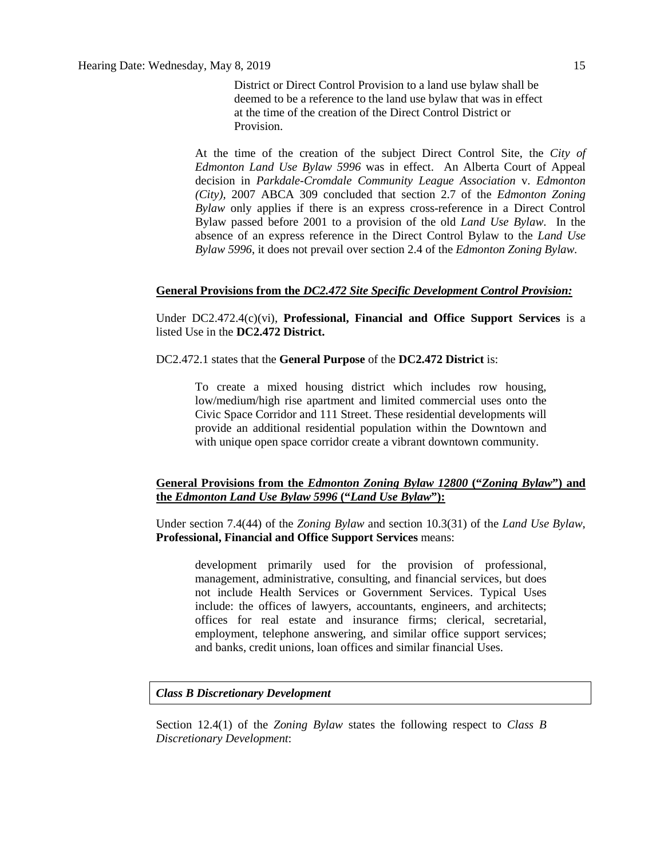District or Direct Control Provision to a land use bylaw shall be deemed to be a reference to the land use bylaw that was in effect at the time of the creation of the Direct Control District or Provision.

At the time of the creation of the subject Direct Control Site, the *City of Edmonton Land Use Bylaw 5996* was in effect. An Alberta Court of Appeal decision in *Parkdale-Cromdale Community League Association* v. *Edmonton (City),* 2007 ABCA 309 concluded that section 2.7 of the *Edmonton Zoning Bylaw* only applies if there is an express cross-reference in a Direct Control Bylaw passed before 2001 to a provision of the old *Land Use Bylaw*. In the absence of an express reference in the Direct Control Bylaw to the *Land Use Bylaw 5996*, it does not prevail over section 2.4 of the *Edmonton Zoning Bylaw.*

#### **General Provisions from the** *DC2.472 Site Specific Development Control Provision:*

Under DC2.472.4(c)(vi), **Professional, Financial and Office Support Services** is a listed Use in the **DC2.472 District.**

DC2.472.1 states that the **General Purpose** of the **DC2.472 District** is:

To create a mixed housing district which includes row housing, low/medium/high rise apartment and limited commercial uses onto the Civic Space Corridor and 111 Street. These residential developments will provide an additional residential population within the Downtown and with unique open space corridor create a vibrant downtown community.

### **General Provisions from the** *Edmonton Zoning Bylaw 12800* **("***Zoning Bylaw***") and the** *Edmonton Land Use Bylaw 5996* **("***Land Use Bylaw***"):**

Under section 7.4(44) of the *Zoning Bylaw* and section 10.3(31) of the *Land Use Bylaw*, **Professional, Financial and Office Support Services** means:

development primarily used for the provision of professional, management, administrative, consulting, and financial services, but does not include Health Services or Government Services. Typical Uses include: the offices of lawyers, accountants, engineers, and architects; offices for real estate and insurance firms; clerical, secretarial, employment, telephone answering, and similar office support services; and banks, credit unions, loan offices and similar financial Uses.

#### *Class B Discretionary Development*

Section 12.4(1) of the *Zoning Bylaw* states the following respect to *Class B Discretionary Development*: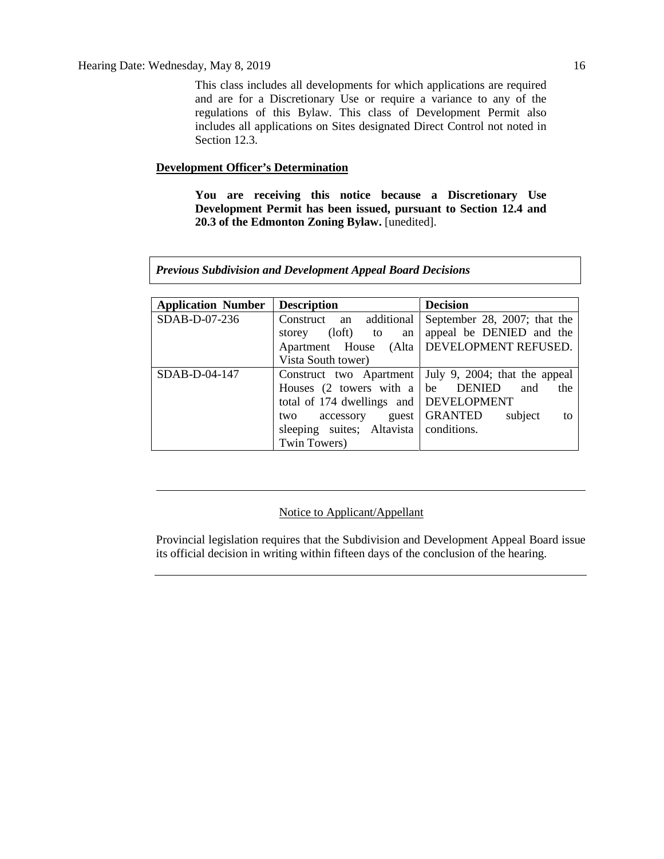This class includes all developments for which applications are required and are for a Discretionary Use or require a variance to any of the regulations of this Bylaw. This class of Development Permit also includes all applications on Sites designated Direct Control not noted in Section 12.3.

# **Development Officer's Determination**

**You are receiving this notice because a Discretionary Use Development Permit has been issued, pursuant to Section 12.4 and 20.3 of the Edmonton Zoning Bylaw.** [unedited].

*Previous Subdivision and Development Appeal Board Decisions*

| <b>Application Number</b> | <b>Description</b>                              | <b>Decision</b>                                         |
|---------------------------|-------------------------------------------------|---------------------------------------------------------|
| SDAB-D-07-236             | Construct an additional                         | September 28, 2007; that the                            |
|                           | storey (loft) to<br>an                          | appeal be DENIED and the                                |
|                           |                                                 | Apartment House (Alta   DEVELOPMENT REFUSED.            |
|                           | Vista South tower)                              |                                                         |
| SDAB-D-04-147             |                                                 | Construct two Apartment   July 9, 2004; that the appeal |
|                           | Houses $(2 \t{towers with a} \t{b} \t{b} \t{D}$ | and<br>the                                              |
|                           | total of 174 dwellings and   DEVELOPMENT        |                                                         |
|                           | accessory guest   GRANTED<br>two                | subject<br>to                                           |
|                           | sleeping suites; Altavista conditions.          |                                                         |
|                           | Twin Towers)                                    |                                                         |

### Notice to Applicant/Appellant

Provincial legislation requires that the Subdivision and Development Appeal Board issue its official decision in writing within fifteen days of the conclusion of the hearing.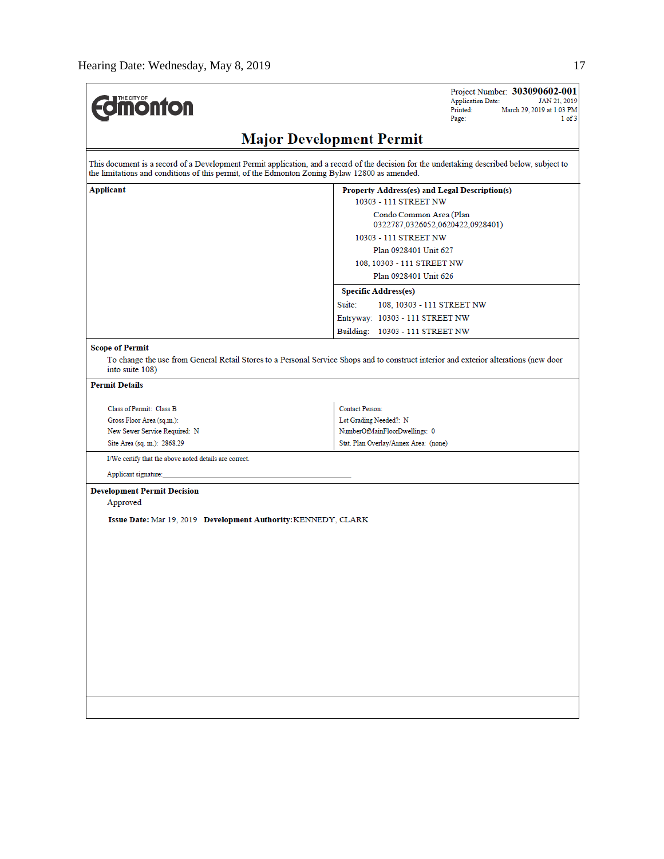| <b><i><u><u><b>MONTON</b></u></u></i></b>                                                     | Project Number: 303090602-001<br><b>Application Date:</b><br>JAN 21, 2019<br>Printed:<br>March 29, 2019 at 1:03 PM<br>Page:<br>$1$ of $3$   |
|-----------------------------------------------------------------------------------------------|---------------------------------------------------------------------------------------------------------------------------------------------|
|                                                                                               | <b>Major Development Permit</b>                                                                                                             |
| the limitations and conditions of this permit, of the Edmonton Zoning Bylaw 12800 as amended. | This document is a record of a Development Permit application, and a record of the decision for the undertaking described below, subject to |
| Applicant                                                                                     | Property Address(es) and Legal Description(s)                                                                                               |
|                                                                                               | 10303 - 111 STREET NW                                                                                                                       |
|                                                                                               | Condo Common Area (Plan<br>0322787,0326052,0620422,0928401)                                                                                 |
|                                                                                               | 10303 - 111 STREET NW                                                                                                                       |
|                                                                                               | Plan 0928401 Unit 627                                                                                                                       |
|                                                                                               | 108, 10303 - 111 STREET NW                                                                                                                  |
|                                                                                               | Plan 0928401 Unit 626                                                                                                                       |
|                                                                                               | <b>Specific Address(es)</b>                                                                                                                 |
|                                                                                               | Suite:<br>108, 10303 - 111 STREET NW                                                                                                        |
|                                                                                               | Entryway: 10303 - 111 STREET NW                                                                                                             |
|                                                                                               | Building: 10303 - 111 STREET NW                                                                                                             |
| into suite 108)<br><b>Permit Details</b>                                                      |                                                                                                                                             |
| Class of Permit: Class B                                                                      | <b>Contact Person:</b>                                                                                                                      |
| Gross Floor Area (sq.m.):                                                                     | Lot Grading Needed?: N                                                                                                                      |
| New Sewer Service Required: N                                                                 | NumberOfMainFloorDwellings: 0                                                                                                               |
| Site Area (sq. m.): 2868.29                                                                   | Stat. Plan Overlay/Annex Area: (none)                                                                                                       |
| I/We certify that the above noted details are correct.                                        |                                                                                                                                             |
| Applicant signature:                                                                          |                                                                                                                                             |
| <b>Development Permit Decision</b><br>Approved                                                |                                                                                                                                             |
| Issue Date: Mar 19, 2019 Development Authority: KENNEDY, CLARK                                |                                                                                                                                             |
|                                                                                               |                                                                                                                                             |
|                                                                                               |                                                                                                                                             |
|                                                                                               |                                                                                                                                             |
|                                                                                               |                                                                                                                                             |
|                                                                                               |                                                                                                                                             |
|                                                                                               |                                                                                                                                             |
|                                                                                               |                                                                                                                                             |
|                                                                                               |                                                                                                                                             |
|                                                                                               |                                                                                                                                             |
|                                                                                               |                                                                                                                                             |
|                                                                                               |                                                                                                                                             |
|                                                                                               |                                                                                                                                             |
|                                                                                               |                                                                                                                                             |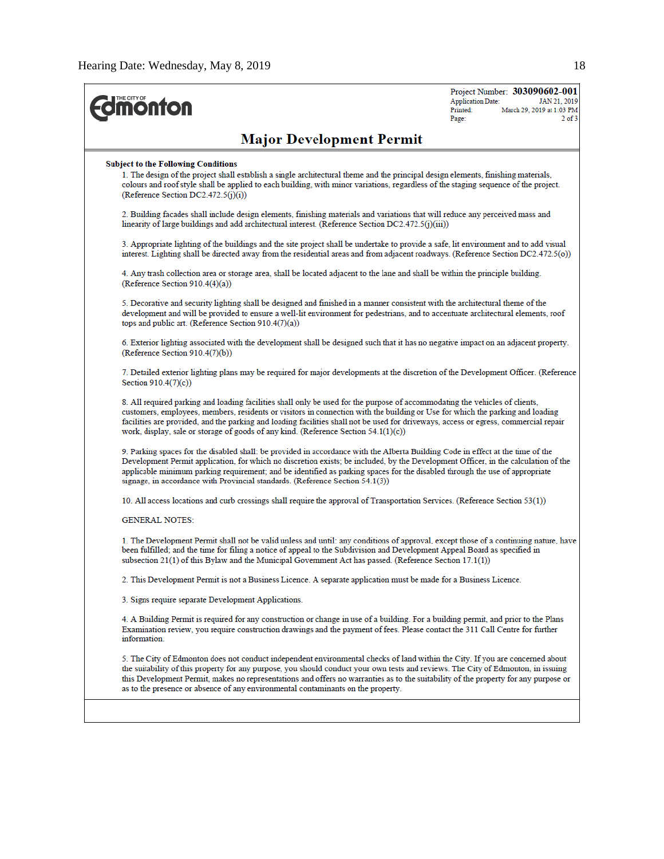| THE CITY OF<br><b>nonton</b>                                                                                                                                                                                                                                                                                                                                                                                                                                                                   | Project Number: 303090602-001<br><b>Application Date:</b><br>JAN 21, 2019<br>Printed:<br>March 29, 2019 at 1:03 PM<br>$2$ of $3$<br>Page: |  |  |  |  |  |
|------------------------------------------------------------------------------------------------------------------------------------------------------------------------------------------------------------------------------------------------------------------------------------------------------------------------------------------------------------------------------------------------------------------------------------------------------------------------------------------------|-------------------------------------------------------------------------------------------------------------------------------------------|--|--|--|--|--|
| <b>Major Development Permit</b>                                                                                                                                                                                                                                                                                                                                                                                                                                                                |                                                                                                                                           |  |  |  |  |  |
| <b>Subject to the Following Conditions</b><br>1. The design of the project shall establish a single architectural theme and the principal design elements, finishing materials,<br>colours and roof style shall be applied to each building, with minor variations, regardless of the staging sequence of the project.<br>(Reference Section DC2.472.5 $(j)(i)$ )                                                                                                                              |                                                                                                                                           |  |  |  |  |  |
| 2. Building facades shall include design elements, finishing materials and variations that will reduce any perceived mass and<br>linearity of large buildings and add architectural interest. (Reference Section DC2.472.5(j)(iii))                                                                                                                                                                                                                                                            |                                                                                                                                           |  |  |  |  |  |
| 3. Appropriate lighting of the buildings and the site project shall be undertake to provide a safe, lit environment and to add visual<br>interest. Lighting shall be directed away from the residential areas and from adjacent roadways. (Reference Section DC2.472.5(o))                                                                                                                                                                                                                     |                                                                                                                                           |  |  |  |  |  |
| 4. Any trash collection area or storage area, shall be located adjacent to the lane and shall be within the principle building.<br>(Reference Section 910.4(4)(a))                                                                                                                                                                                                                                                                                                                             |                                                                                                                                           |  |  |  |  |  |
| 5. Decorative and security lighting shall be designed and finished in a manner consistent with the architectural theme of the<br>development and will be provided to ensure a well-lit environment for pedestrians, and to accentuate architectural elements, roof<br>tops and public art. (Reference Section $910.4(7)(a)$ )                                                                                                                                                                  |                                                                                                                                           |  |  |  |  |  |
| 6. Exterior lighting associated with the development shall be designed such that it has no negative impact on an adjacent property.<br>(Reference Section 910.4(7)(b))                                                                                                                                                                                                                                                                                                                         |                                                                                                                                           |  |  |  |  |  |
| 7. Detailed exterior lighting plans may be required for major developments at the discretion of the Development Officer. (Reference<br>Section 910.4(7)(c))                                                                                                                                                                                                                                                                                                                                    |                                                                                                                                           |  |  |  |  |  |
| 8. All required parking and loading facilities shall only be used for the purpose of accommodating the vehicles of clients,<br>customers, employees, members, residents or visitors in connection with the building or Use for which the parking and loading<br>facilities are provided, and the parking and loading facilities shall not be used for driveways, access or egress, commercial repair<br>work, display, sale or storage of goods of any kind. (Reference Section $54.1(1)(c)$ ) |                                                                                                                                           |  |  |  |  |  |
| 9. Parking spaces for the disabled shall: be provided in accordance with the Alberta Building Code in effect at the time of the<br>Development Permit application, for which no discretion exists; be included, by the Development Officer, in the calculation of the<br>applicable minimum parking requirement; and be identified as parking spaces for the disabled through the use of appropriate<br>signage, in accordance with Provincial standards. (Reference Section $54.1(3)$ )       |                                                                                                                                           |  |  |  |  |  |
| 10. All access locations and curb crossings shall require the approval of Transportation Services. (Reference Section 53(1))                                                                                                                                                                                                                                                                                                                                                                   |                                                                                                                                           |  |  |  |  |  |
| <b>GENERAL NOTES:</b>                                                                                                                                                                                                                                                                                                                                                                                                                                                                          |                                                                                                                                           |  |  |  |  |  |
| 1. The Development Permit shall not be valid unless and until: any conditions of approval, except those of a continuing nature, have<br>been fulfilled; and the time for filing a notice of appeal to the Subdivision and Development Appeal Board as specified in<br>subsection 21(1) of this Bylaw and the Municipal Government Act has passed. (Reference Section 17.1(1))                                                                                                                  |                                                                                                                                           |  |  |  |  |  |
| 2. This Development Permit is not a Business Licence. A separate application must be made for a Business Licence.                                                                                                                                                                                                                                                                                                                                                                              |                                                                                                                                           |  |  |  |  |  |
| 3. Signs require separate Development Applications.                                                                                                                                                                                                                                                                                                                                                                                                                                            |                                                                                                                                           |  |  |  |  |  |
| 4. A Building Permit is required for any construction or change in use of a building. For a building permit, and prior to the Plans<br>Examination review, you require construction drawings and the payment of fees. Please contact the 311 Call Centre for further<br>information.                                                                                                                                                                                                           |                                                                                                                                           |  |  |  |  |  |
| 5. The City of Edmonton does not conduct independent environmental checks of land within the City. If you are concerned about<br>the suitability of this property for any purpose, you should conduct your own tests and reviews. The City of Edmonton, in issuing<br>this Development Permit, makes no representations and offers no warranties as to the suitability of the property for any purpose or<br>as to the presence or absence of any environmental contaminants on the property.  |                                                                                                                                           |  |  |  |  |  |
|                                                                                                                                                                                                                                                                                                                                                                                                                                                                                                |                                                                                                                                           |  |  |  |  |  |
|                                                                                                                                                                                                                                                                                                                                                                                                                                                                                                |                                                                                                                                           |  |  |  |  |  |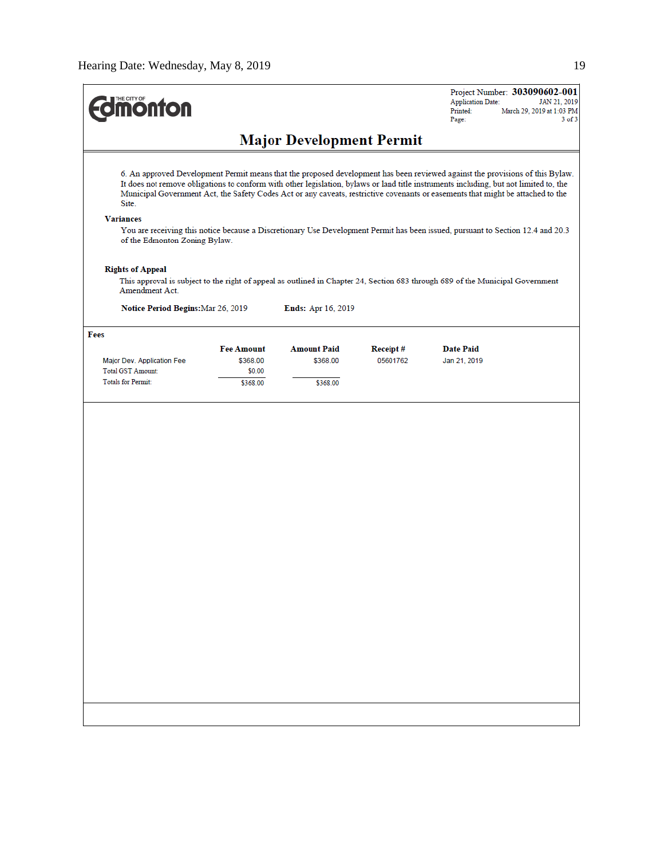| <b>monton</b>                                                                                                                                                                                                                                                                                                                                                                                                                                                                                                                                                                                              |                    |                           |          | Project Number: 303090602-001<br><b>Application Date:</b><br>JAN 21, 2019<br>Printed:<br>March 29, 2019 at 1:03 PM<br>Page:<br>$3$ of $3$ |  |
|------------------------------------------------------------------------------------------------------------------------------------------------------------------------------------------------------------------------------------------------------------------------------------------------------------------------------------------------------------------------------------------------------------------------------------------------------------------------------------------------------------------------------------------------------------------------------------------------------------|--------------------|---------------------------|----------|-------------------------------------------------------------------------------------------------------------------------------------------|--|
| <b>Major Development Permit</b>                                                                                                                                                                                                                                                                                                                                                                                                                                                                                                                                                                            |                    |                           |          |                                                                                                                                           |  |
| 6. An approved Development Permit means that the proposed development has been reviewed against the provisions of this Bylaw.<br>It does not remove obligations to conform with other legislation, bylaws or land title instruments including, but not limited to, the<br>Municipal Government Act, the Safety Codes Act or any caveats, restrictive covenants or easements that might be attached to the<br>Site.<br><b>Variances</b><br>You are receiving this notice because a Discretionary Use Development Permit has been issued, pursuant to Section 12.4 and 20.3<br>of the Edmonton Zoning Bylaw. |                    |                           |          |                                                                                                                                           |  |
| <b>Rights of Appeal</b><br>Amendment Act.                                                                                                                                                                                                                                                                                                                                                                                                                                                                                                                                                                  |                    |                           |          | This approval is subject to the right of appeal as outlined in Chapter 24, Section 683 through 689 of the Municipal Government            |  |
| Notice Period Begins: Mar 26, 2019                                                                                                                                                                                                                                                                                                                                                                                                                                                                                                                                                                         |                    | <b>Ends:</b> Apr 16, 2019 |          |                                                                                                                                           |  |
| Fees                                                                                                                                                                                                                                                                                                                                                                                                                                                                                                                                                                                                       |                    |                           |          |                                                                                                                                           |  |
|                                                                                                                                                                                                                                                                                                                                                                                                                                                                                                                                                                                                            | <b>Fee Amount</b>  | <b>Amount Paid</b>        | Receipt# | <b>Date Paid</b>                                                                                                                          |  |
| Major Dev. Application Fee<br>Total GST Amount:                                                                                                                                                                                                                                                                                                                                                                                                                                                                                                                                                            | \$368.00<br>\$0.00 | \$368.00                  | 05601762 | Jan 21, 2019                                                                                                                              |  |
| <b>Totals for Permit:</b>                                                                                                                                                                                                                                                                                                                                                                                                                                                                                                                                                                                  | \$368.00           | \$368.00                  |          |                                                                                                                                           |  |
|                                                                                                                                                                                                                                                                                                                                                                                                                                                                                                                                                                                                            |                    |                           |          |                                                                                                                                           |  |
|                                                                                                                                                                                                                                                                                                                                                                                                                                                                                                                                                                                                            |                    |                           |          |                                                                                                                                           |  |